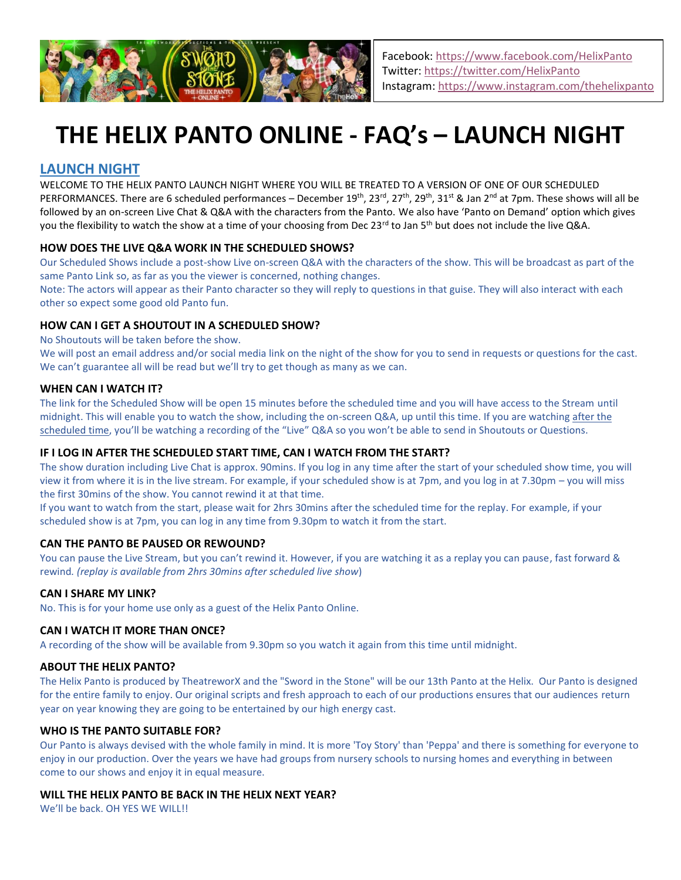

# **THE HELIX PANTO ONLINE - FAQ's – LAUNCH NIGHT**

## **LAUNCH NIGHT**

WELCOME TO THE HELIX PANTO LAUNCH NIGHT WHERE YOU WILL BE TREATED TO A VERSION OF ONE OF OUR SCHEDULED PERFORMANCES. There are 6 scheduled performances – December 19<sup>th</sup>, 23<sup>rd</sup>, 27<sup>th</sup>, 29<sup>th</sup>, 31<sup>st</sup> & Jan 2<sup>nd</sup> at 7pm. These shows will all be followed by an on-screen Live Chat & Q&A with the characters from the Panto. We also have 'Panto on Demand' option which gives you the flexibility to watch the show at a time of your choosing from Dec 23<sup>rd</sup> to Jan 5<sup>th</sup> but does not include the live Q&A.

## **HOW DOES THE LIVE Q&A WORK IN THE SCHEDULED SHOWS?**

Our Scheduled Shows include a post-show Live on-screen Q&A with the characters of the show. This will be broadcast as part of the same Panto Link so, as far as you the viewer is concerned, nothing changes.

Note: The actors will appear as their Panto character so they will reply to questions in that guise. They will also interact with each other so expect some good old Panto fun.

## **HOW CAN I GET A SHOUTOUT IN A SCHEDULED SHOW?**

No Shoutouts will be taken before the show.

We will post an email address and/or social media link on the night of the show for you to send in requests or questions for the cast. We can't guarantee all will be read but we'll try to get though as many as we can.

## **WHEN CAN I WATCH IT?**

The link for the Scheduled Show will be open 15 minutes before the scheduled time and you will have access to the Stream until midnight. This will enable you to watch the show, including the on-screen Q&A, up until this time. If you are watching after the scheduled time, you'll be watching a recording of the "Live" Q&A so you won't be able to send in Shoutouts or Questions.

## **IF I LOG IN AFTER THE SCHEDULED START TIME, CAN I WATCH FROM THE START?**

The show duration including Live Chat is approx. 90mins. If you log in any time after the start of your scheduled show time, you will view it from where it is in the live stream. For example, if your scheduled show is at 7pm, and you log in at 7.30pm – you will miss the first 30mins of the show. You cannot rewind it at that time.

If you want to watch from the start, please wait for 2hrs 30mins after the scheduled time for the replay. For example, if your scheduled show is at 7pm, you can log in any time from 9.30pm to watch it from the start.

## **CAN THE PANTO BE PAUSED OR REWOUND?**

You can pause the Live Stream, but you can't rewind it. However, if you are watching it as a replay you can pause, fast forward & rewind*. (replay is available from 2hrs 30mins after scheduled live show*)

## **CAN I SHARE MY LINK?**

No. This is for your home use only as a guest of the Helix Panto Online.

## **CAN I WATCH IT MORE THAN ONCE?**

A recording of the show will be available from 9.30pm so you watch it again from this time until midnight.

## **ABOUT THE HELIX PANTO?**

The Helix Panto is produced by TheatreworX and the "Sword in the Stone" will be our 13th Panto at the Helix. Our Panto is designed for the entire family to enjoy. Our original scripts and fresh approach to each of our productions ensures that our audiences return year on year knowing they are going to be entertained by our high energy cast.

## **WHO IS THE PANTO SUITABLE FOR?**

Our Panto is always devised with the whole family in mind. It is more 'Toy Story' than 'Peppa' and there is something for everyone to enjoy in our production. Over the years we have had groups from nursery schools to nursing homes and everything in between come to our shows and enjoy it in equal measure.

## **WILL THE HELIX PANTO BE BACK IN THE HELIX NEXT YEAR?**

We'll be back. OH YES WE WILL!!